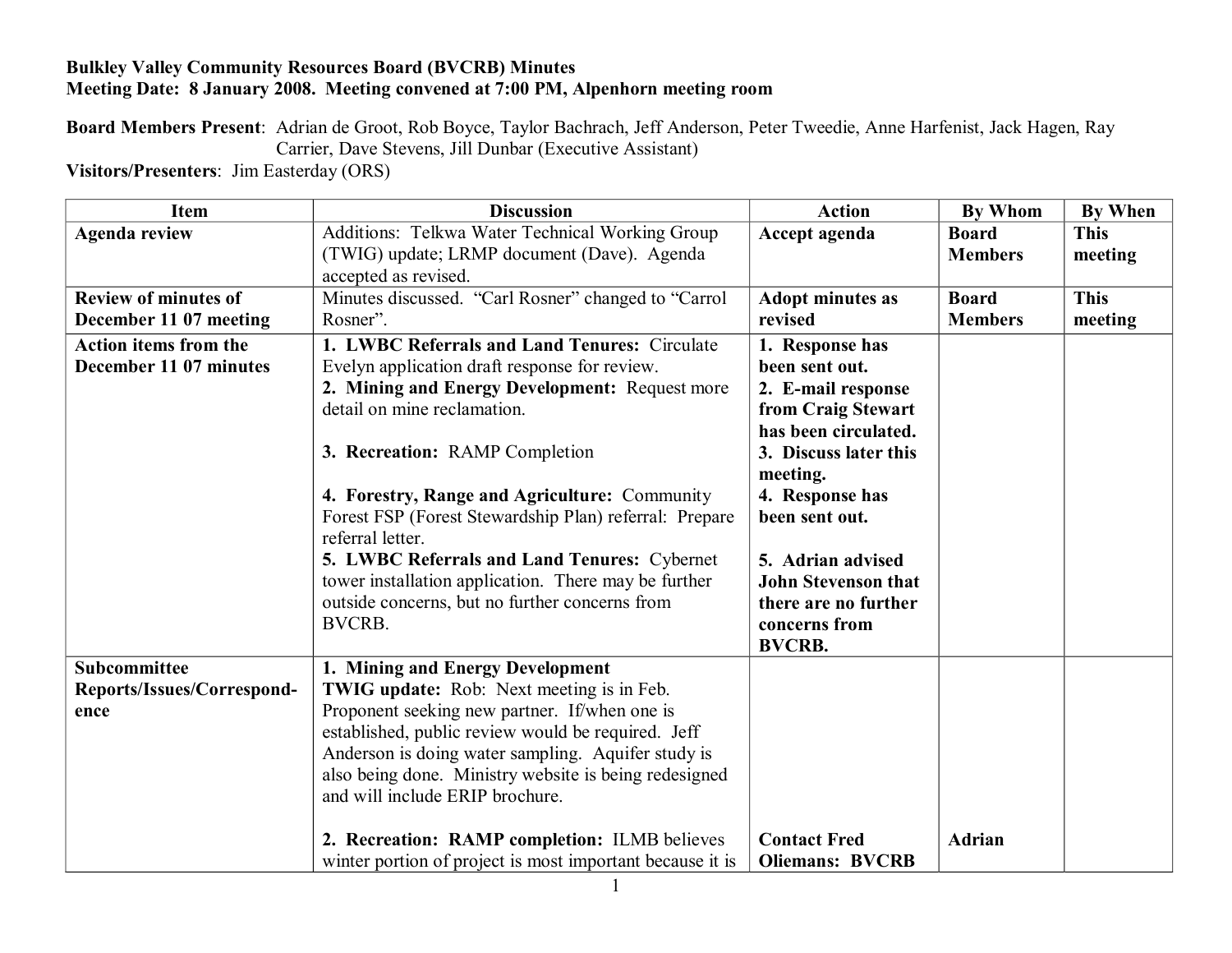## **Bulkley Valley Community Resources Board (BVCRB) Minutes Meeting Date: 8 January 2008. Meeting convened at 7:00 PM, Alpenhorn meeting room**

**Board Members Present**: Adrian de Groot, Rob Boyce, Taylor Bachrach, Jeff Anderson, Peter Tweedie, Anne Harfenist, Jack Hagen, Ray Carrier, Dave Stevens, Jill Dunbar (Executive Assistant)

**Visitors/Presenters**: Jim Easterday (ORS)

| <b>Item</b>                  | <b>Discussion</b>                                         | <b>Action</b>              | <b>By Whom</b> | <b>By When</b> |
|------------------------------|-----------------------------------------------------------|----------------------------|----------------|----------------|
| <b>Agenda review</b>         | Additions: Telkwa Water Technical Working Group           | Accept agenda              | <b>Board</b>   | <b>This</b>    |
|                              | (TWIG) update; LRMP document (Dave). Agenda               |                            | <b>Members</b> | meeting        |
|                              | accepted as revised.                                      |                            |                |                |
| <b>Review of minutes of</b>  | Minutes discussed. "Carl Rosner" changed to "Carrol       | <b>Adopt minutes as</b>    | <b>Board</b>   | <b>This</b>    |
| December 11 07 meeting       | Rosner".                                                  | revised                    | <b>Members</b> | meeting        |
| <b>Action items from the</b> | 1. LWBC Referrals and Land Tenures: Circulate             | 1. Response has            |                |                |
| December 11 07 minutes       | Evelyn application draft response for review.             | been sent out.             |                |                |
|                              | 2. Mining and Energy Development: Request more            | 2. E-mail response         |                |                |
|                              | detail on mine reclamation.                               | from Craig Stewart         |                |                |
|                              |                                                           | has been circulated.       |                |                |
|                              | 3. Recreation: RAMP Completion                            | 3. Discuss later this      |                |                |
|                              |                                                           | meeting.                   |                |                |
|                              | 4. Forestry, Range and Agriculture: Community             | 4. Response has            |                |                |
|                              | Forest FSP (Forest Stewardship Plan) referral: Prepare    | been sent out.             |                |                |
|                              | referral letter.                                          |                            |                |                |
|                              | 5. LWBC Referrals and Land Tenures: Cybernet              | 5. Adrian advised          |                |                |
|                              | tower installation application. There may be further      | <b>John Stevenson that</b> |                |                |
|                              | outside concerns, but no further concerns from            | there are no further       |                |                |
|                              | <b>BVCRB.</b>                                             | concerns from              |                |                |
|                              |                                                           | <b>BVCRB.</b>              |                |                |
| Subcommittee                 | 1. Mining and Energy Development                          |                            |                |                |
| Reports/Issues/Correspond-   | <b>TWIG update:</b> Rob: Next meeting is in Feb.          |                            |                |                |
| ence                         | Proponent seeking new partner. If/when one is             |                            |                |                |
|                              | established, public review would be required. Jeff        |                            |                |                |
|                              | Anderson is doing water sampling. Aquifer study is        |                            |                |                |
|                              | also being done. Ministry website is being redesigned     |                            |                |                |
|                              | and will include ERIP brochure.                           |                            |                |                |
|                              |                                                           |                            |                |                |
|                              | 2. Recreation: RAMP completion: ILMB believes             | <b>Contact Fred</b>        | <b>Adrian</b>  |                |
|                              | winter portion of project is most important because it is | <b>Oliemans: BVCRB</b>     |                |                |